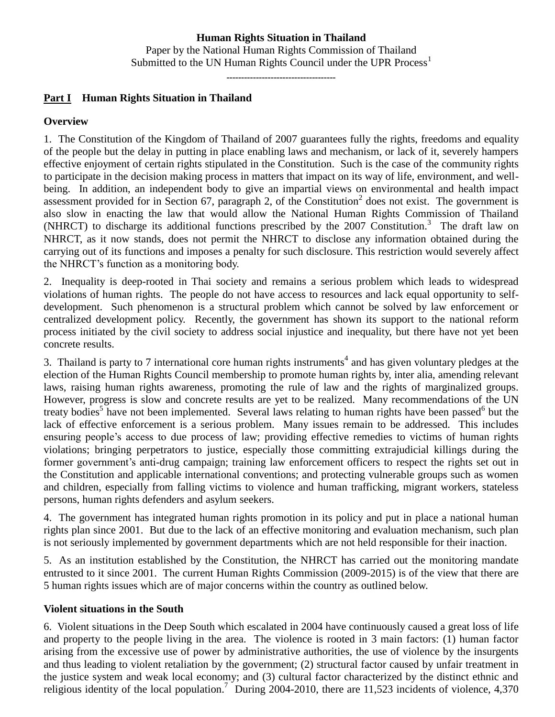# **Human Rights Situation in Thailand**

Paper by the National Human Rights Commission of Thailand Submitted to the UN Human Rights Council under the UPR Process<sup>1</sup>

-------------------------------------

# **Part I Human Rights Situation in Thailand**

#### **Overview**

1. The Constitution of the Kingdom of Thailand of 2007 guarantees fully the rights, freedoms and equality of the people but the delay in putting in place enabling laws and mechanism, or lack of it, severely hampers effective enjoyment of certain rights stipulated in the Constitution. Such is the case of the community rights to participate in the decision making process in matters that impact on its way of life, environment, and wellbeing. In addition, an independent body to give an impartial views on environmental and health impact assessment provided for in Section 67, paragraph 2, of the Constitution<sup>2</sup> does not exist. The government is also slow in enacting the law that would allow the National Human Rights Commission of Thailand (NHRCT) to discharge its additional functions prescribed by the 2007 Constitution.<sup>3</sup> The draft law on NHRCT, as it now stands, does not permit the NHRCT to disclose any information obtained during the carrying out of its functions and imposes a penalty for such disclosure. This restriction would severely affect the NHRCT's function as a monitoring body.

2. Inequality is deep-rooted in Thai society and remains a serious problem which leads to widespread violations of human rights. The people do not have access to resources and lack equal opportunity to selfdevelopment. Such phenomenon is a structural problem which cannot be solved by law enforcement or centralized development policy. Recently, the government has shown its support to the national reform process initiated by the civil society to address social injustice and inequality, but there have not yet been concrete results.

3. Thailand is party to 7 international core human rights instruments<sup>4</sup> and has given voluntary pledges at the election of the Human Rights Council membership to promote human rights by, inter alia, amending relevant laws, raising human rights awareness, promoting the rule of law and the rights of marginalized groups. However, progress is slow and concrete results are yet to be realized. Many recommendations of the UN treaty bodies<sup>5</sup> have not been implemented. Several laws relating to human rights have been passed but the lack of effective enforcement is a serious problem. Many issues remain to be addressed. This includes ensuring people's access to due process of law; providing effective remedies to victims of human rights violations; bringing perpetrators to justice, especially those committing extrajudicial killings during the former government's anti-drug campaign; training law enforcement officers to respect the rights set out in the Constitution and applicable international conventions; and protecting vulnerable groups such as women and children, especially from falling victims to violence and human trafficking, migrant workers, stateless persons, human rights defenders and asylum seekers.

4. The government has integrated human rights promotion in its policy and put in place a national human rights plan since 2001. But due to the lack of an effective monitoring and evaluation mechanism, such plan is not seriously implemented by government departments which are not held responsible for their inaction.

5. As an institution established by the Constitution, the NHRCT has carried out the monitoring mandate entrusted to it since 2001. The current Human Rights Commission (2009-2015) is of the view that there are 5 human rights issues which are of major concerns within the country as outlined below.

#### **Violent situations in the South**

6. Violent situations in the Deep South which escalated in 2004 have continuously caused a great loss of life and property to the people living in the area. The violence is rooted in 3 main factors: (1) human factor arising from the excessive use of power by administrative authorities, the use of violence by the insurgents and thus leading to violent retaliation by the government; (2) structural factor caused by unfair treatment in the justice system and weak local economy; and (3) cultural factor characterized by the distinct ethnic and religious identity of the local population.<sup>7</sup> During 2004-2010, there are 11,523 incidents of violence, 4,370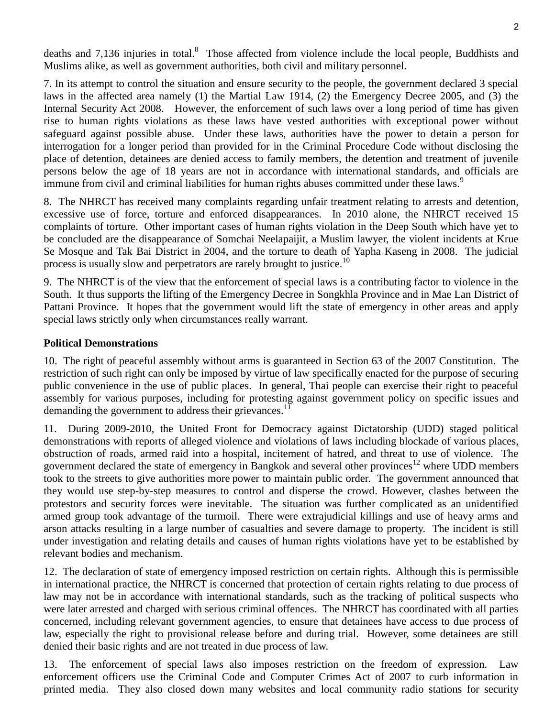deaths and 7,136 injuries in total.<sup>8</sup> Those affected from violence include the local people, Buddhists and Muslims alike, as well as government authorities, both civil and military personnel.

7. In its attempt to control the situation and ensure security to the people, the government declared 3 special laws in the affected area namely (1) the Martial Law 1914, (2) the Emergency Decree 2005, and (3) the Internal Security Act 2008. However, the enforcement of such laws over a long period of time has given rise to human rights violations as these laws have vested authorities with exceptional power without safeguard against possible abuse. Under these laws, authorities have the power to detain a person for interrogation for a longer period than provided for in the Criminal Procedure Code without disclosing the place of detention, detainees are denied access to family members, the detention and treatment of juvenile persons below the age of 18 years are not in accordance with international standards, and officials are immune from civil and criminal liabilities for human rights abuses committed under these laws.<sup>9</sup>

8. The NHRCT has received many complaints regarding unfair treatment relating to arrests and detention, excessive use of force, torture and enforced disappearances. In 2010 alone, the NHRCT received 15 complaints of torture. Other important cases of human rights violation in the Deep South which have yet to be concluded are the disappearance of Somchai Neelapaijit, a Muslim lawyer, the violent incidents at Krue Se Mosque and Tak Bai District in 2004, and the torture to death of Yapha Kaseng in 2008. The judicial process is usually slow and perpetrators are rarely brought to justice.<sup>10</sup>

9. The NHRCT is of the view that the enforcement of special laws is a contributing factor to violence in the South. It thus supports the lifting of the Emergency Decree in Songkhla Province and in Mae Lan District of Pattani Province. It hopes that the government would lift the state of emergency in other areas and apply special laws strictly only when circumstances really warrant.

#### **Political Demonstrations**

10. The right of peaceful assembly without arms is guaranteed in Section 63 of the 2007 Constitution. The restriction of such right can only be imposed by virtue of law specifically enacted for the purpose of securing public convenience in the use of public places. In general, Thai people can exercise their right to peaceful assembly for various purposes, including for protesting against government policy on specific issues and demanding the government to address their grievances.<sup>11</sup>

11. During 2009-2010, the United Front for Democracy against Dictatorship (UDD) staged political demonstrations with reports of alleged violence and violations of laws including blockade of various places, obstruction of roads, armed raid into a hospital, incitement of hatred, and threat to use of violence. The government declared the state of emergency in Bangkok and several other provinces<sup>12</sup> where UDD members took to the streets to give authorities more power to maintain public order. The government announced that they would use step-by-step measures to control and disperse the crowd. However, clashes between the protestors and security forces were inevitable. The situation was further complicated as an unidentified armed group took advantage of the turmoil. There were extrajudicial killings and use of heavy arms and arson attacks resulting in a large number of casualties and severe damage to property. The incident is still under investigation and relating details and causes of human rights violations have yet to be established by relevant bodies and mechanism.

12. The declaration of state of emergency imposed restriction on certain rights. Although this is permissible in international practice, the NHRCT is concerned that protection of certain rights relating to due process of law may not be in accordance with international standards, such as the tracking of political suspects who were later arrested and charged with serious criminal offences. The NHRCT has coordinated with all parties concerned, including relevant government agencies, to ensure that detainees have access to due process of law, especially the right to provisional release before and during trial. However, some detainees are still denied their basic rights and are not treated in due process of law.

13. The enforcement of special laws also imposes restriction on the freedom of expression. Law enforcement officers use the Criminal Code and Computer Crimes Act of 2007 to curb information in printed media. They also closed down many websites and local community radio stations for security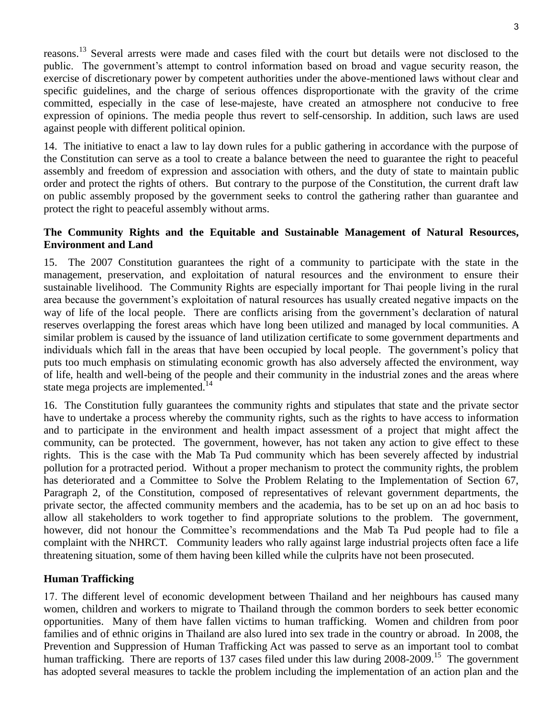reasons.<sup>13</sup> Several arrests were made and cases filed with the court but details were not disclosed to the public. The government's attempt to control information based on broad and vague security reason, the exercise of discretionary power by competent authorities under the above-mentioned laws without clear and specific guidelines, and the charge of serious offences disproportionate with the gravity of the crime committed, especially in the case of lese-majeste, have created an atmosphere not conducive to free expression of opinions. The media people thus revert to self-censorship. In addition, such laws are used against people with different political opinion.

14. The initiative to enact a law to lay down rules for a public gathering in accordance with the purpose of the Constitution can serve as a tool to create a balance between the need to guarantee the right to peaceful assembly and freedom of expression and association with others, and the duty of state to maintain public order and protect the rights of others. But contrary to the purpose of the Constitution, the current draft law on public assembly proposed by the government seeks to control the gathering rather than guarantee and protect the right to peaceful assembly without arms.

### **The Community Rights and the Equitable and Sustainable Management of Natural Resources, Environment and Land**

15. The 2007 Constitution guarantees the right of a community to participate with the state in the management, preservation, and exploitation of natural resources and the environment to ensure their sustainable livelihood. The Community Rights are especially important for Thai people living in the rural area because the government's exploitation of natural resources has usually created negative impacts on the way of life of the local people. There are conflicts arising from the government's declaration of natural reserves overlapping the forest areas which have long been utilized and managed by local communities. A similar problem is caused by the issuance of land utilization certificate to some government departments and individuals which fall in the areas that have been occupied by local people. The government's policy that puts too much emphasis on stimulating economic growth has also adversely affected the environment, way of life, health and well-being of the people and their community in the industrial zones and the areas where state mega projects are implemented.<sup>14</sup>

16. The Constitution fully guarantees the community rights and stipulates that state and the private sector have to undertake a process whereby the community rights, such as the rights to have access to information and to participate in the environment and health impact assessment of a project that might affect the community, can be protected. The government, however, has not taken any action to give effect to these rights. This is the case with the Mab Ta Pud community which has been severely affected by industrial pollution for a protracted period. Without a proper mechanism to protect the community rights, the problem has deteriorated and a Committee to Solve the Problem Relating to the Implementation of Section 67, Paragraph 2, of the Constitution, composed of representatives of relevant government departments, the private sector, the affected community members and the academia, has to be set up on an ad hoc basis to allow all stakeholders to work together to find appropriate solutions to the problem. The government, however, did not honour the Committee's recommendations and the Mab Ta Pud people had to file a complaint with the NHRCT. Community leaders who rally against large industrial projects often face a life threatening situation, some of them having been killed while the culprits have not been prosecuted.

# **Human Trafficking**

17. The different level of economic development between Thailand and her neighbours has caused many women, children and workers to migrate to Thailand through the common borders to seek better economic opportunities. Many of them have fallen victims to human trafficking. Women and children from poor families and of ethnic origins in Thailand are also lured into sex trade in the country or abroad. In 2008, the Prevention and Suppression of Human Trafficking Act was passed to serve as an important tool to combat human trafficking. There are reports of 137 cases filed under this law during 2008-2009.<sup>15</sup> The government has adopted several measures to tackle the problem including the implementation of an action plan and the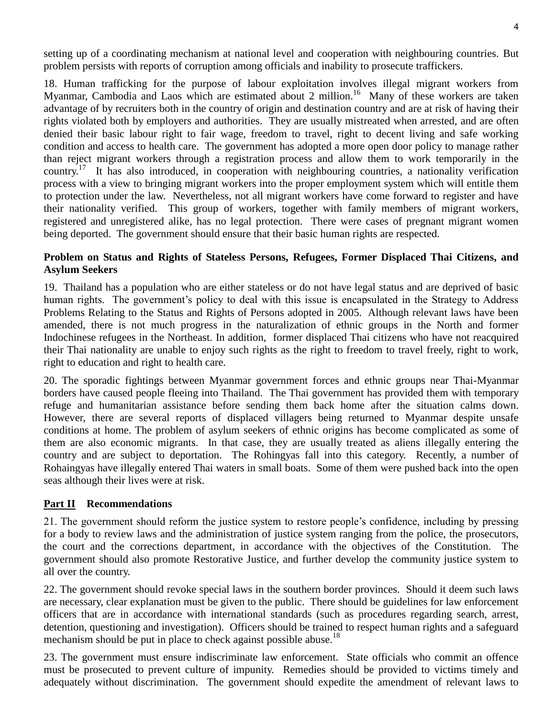setting up of a coordinating mechanism at national level and cooperation with neighbouring countries. But problem persists with reports of corruption among officials and inability to prosecute traffickers.

18. Human trafficking for the purpose of labour exploitation involves illegal migrant workers from Myanmar, Cambodia and Laos which are estimated about 2 million.<sup>16</sup> Many of these workers are taken advantage of by recruiters both in the country of origin and destination country and are at risk of having their rights violated both by employers and authorities. They are usually mistreated when arrested, and are often denied their basic labour right to fair wage, freedom to travel, right to decent living and safe working condition and access to health care. The government has adopted a more open door policy to manage rather than reject migrant workers through a registration process and allow them to work temporarily in the country.<sup>17</sup> It has also introduced, in cooperation with neighbouring countries, a nationality verification process with a view to bringing migrant workers into the proper employment system which will entitle them to protection under the law. Nevertheless, not all migrant workers have come forward to register and have their nationality verified. This group of workers, together with family members of migrant workers, registered and unregistered alike, has no legal protection. There were cases of pregnant migrant women being deported. The government should ensure that their basic human rights are respected.

#### **Problem on Status and Rights of Stateless Persons, Refugees, Former Displaced Thai Citizens, and Asylum Seekers**

19. Thailand has a population who are either stateless or do not have legal status and are deprived of basic human rights. The government's policy to deal with this issue is encapsulated in the Strategy to Address Problems Relating to the Status and Rights of Persons adopted in 2005. Although relevant laws have been amended, there is not much progress in the naturalization of ethnic groups in the North and former Indochinese refugees in the Northeast. In addition, former displaced Thai citizens who have not reacquired their Thai nationality are unable to enjoy such rights as the right to freedom to travel freely, right to work, right to education and right to health care.

20. The sporadic fightings between Myanmar government forces and ethnic groups near Thai-Myanmar borders have caused people fleeing into Thailand. The Thai government has provided them with temporary refuge and humanitarian assistance before sending them back home after the situation calms down. However, there are several reports of displaced villagers being returned to Myanmar despite unsafe conditions at home. The problem of asylum seekers of ethnic origins has become complicated as some of them are also economic migrants. In that case, they are usually treated as aliens illegally entering the country and are subject to deportation. The Rohingyas fall into this category. Recently, a number of Rohaingyas have illegally entered Thai waters in small boats. Some of them were pushed back into the open seas although their lives were at risk.

#### **Part II Recommendations**

21. The government should reform the justice system to restore people's confidence, including by pressing for a body to review laws and the administration of justice system ranging from the police, the prosecutors, the court and the corrections department, in accordance with the objectives of the Constitution. The government should also promote Restorative Justice, and further develop the community justice system to all over the country.

22. The government should revoke special laws in the southern border provinces. Should it deem such laws are necessary, clear explanation must be given to the public. There should be guidelines for law enforcement officers that are in accordance with international standards (such as procedures regarding search, arrest, detention, questioning and investigation). Officers should be trained to respect human rights and a safeguard mechanism should be put in place to check against possible abuse.<sup>18</sup>

23. The government must ensure indiscriminate law enforcement. State officials who commit an offence must be prosecuted to prevent culture of impunity. Remedies should be provided to victims timely and adequately without discrimination. The government should expedite the amendment of relevant laws to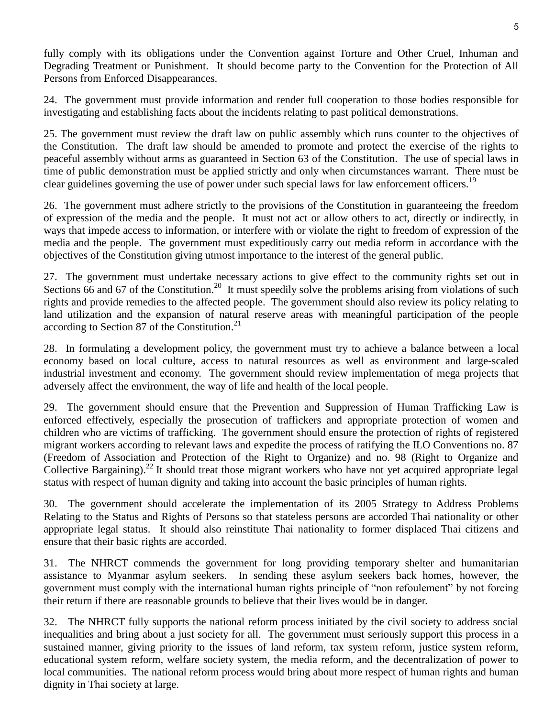fully comply with its obligations under the Convention against Torture and Other Cruel, Inhuman and Degrading Treatment or Punishment. It should become party to the Convention for the Protection of All Persons from Enforced Disappearances.

24. The government must provide information and render full cooperation to those bodies responsible for investigating and establishing facts about the incidents relating to past political demonstrations.

25. The government must review the draft law on public assembly which runs counter to the objectives of the Constitution. The draft law should be amended to promote and protect the exercise of the rights to peaceful assembly without arms as guaranteed in Section 63 of the Constitution. The use of special laws in time of public demonstration must be applied strictly and only when circumstances warrant. There must be clear guidelines governing the use of power under such special laws for law enforcement officers.<sup>19</sup>

26. The government must adhere strictly to the provisions of the Constitution in guaranteeing the freedom of expression of the media and the people. It must not act or allow others to act, directly or indirectly, in ways that impede access to information, or interfere with or violate the right to freedom of expression of the media and the people. The government must expeditiously carry out media reform in accordance with the objectives of the Constitution giving utmost importance to the interest of the general public.

27. The government must undertake necessary actions to give effect to the community rights set out in Sections 66 and 67 of the Constitution.<sup>20</sup> It must speedily solve the problems arising from violations of such rights and provide remedies to the affected people. The government should also review its policy relating to land utilization and the expansion of natural reserve areas with meaningful participation of the people according to Section 87 of the Constitution. $^{21}$ 

28. In formulating a development policy, the government must try to achieve a balance between a local economy based on local culture, access to natural resources as well as environment and large-scaled industrial investment and economy. The government should review implementation of mega projects that adversely affect the environment, the way of life and health of the local people.

29. The government should ensure that the Prevention and Suppression of Human Trafficking Law is enforced effectively, especially the prosecution of traffickers and appropriate protection of women and children who are victims of trafficking. The government should ensure the protection of rights of registered migrant workers according to relevant laws and expedite the process of ratifying the ILO Conventions no. 87 (Freedom of Association and Protection of the Right to Organize) and no. 98 (Right to Organize and Collective Bargaining).<sup>22</sup> It should treat those migrant workers who have not yet acquired appropriate legal status with respect of human dignity and taking into account the basic principles of human rights.

30. The government should accelerate the implementation of its 2005 Strategy to Address Problems Relating to the Status and Rights of Persons so that stateless persons are accorded Thai nationality or other appropriate legal status. It should also reinstitute Thai nationality to former displaced Thai citizens and ensure that their basic rights are accorded.

31. The NHRCT commends the government for long providing temporary shelter and humanitarian assistance to Myanmar asylum seekers. In sending these asylum seekers back homes, however, the government must comply with the international human rights principle of "non refoulement" by not forcing their return if there are reasonable grounds to believe that their lives would be in danger.

32. The NHRCT fully supports the national reform process initiated by the civil society to address social inequalities and bring about a just society for all. The government must seriously support this process in a sustained manner, giving priority to the issues of land reform, tax system reform, justice system reform, educational system reform, welfare society system, the media reform, and the decentralization of power to local communities. The national reform process would bring about more respect of human rights and human dignity in Thai society at large.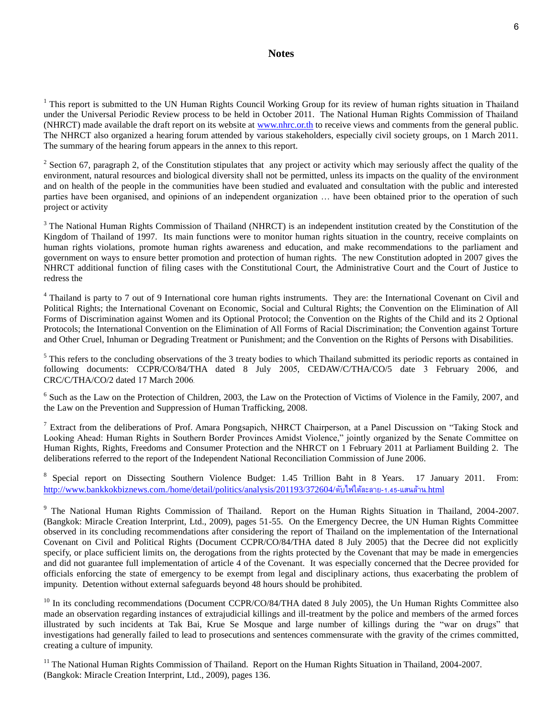#### **Notes**

 $1$  This report is submitted to the UN Human Rights Council Working Group for its review of human rights situation in Thailand under the Universal Periodic Review process to be held in October 2011. The National Human Rights Commission of Thailand (NHRCT) made available the draft report on its website at [www.nhrc.or.th](http://www.nhrc.or.th/) to receive views and comments from the general public. The NHRCT also organized a hearing forum attended by various stakeholders, especially civil society groups, on 1 March 2011. The summary of the hearing forum appears in the annex to this report.

<sup>2</sup> Section 67, paragraph 2, of the Constitution stipulates that any project or activity which may seriously affect the quality of the environment, natural resources and biological diversity shall not be permitted, unless its impacts on the quality of the environment and on health of the people in the communities have been studied and evaluated and consultation with the public and interested parties have been organised, and opinions of an independent organization … have been obtained prior to the operation of such project or activity

<sup>3</sup> The National Human Rights Commission of Thailand (NHRCT) is an independent institution created by the Constitution of the Kingdom of Thailand of 1997. Its main functions were to monitor human rights situation in the country, receive complaints on human rights violations, promote human rights awareness and education, and make recommendations to the parliament and government on ways to ensure better promotion and protection of human rights. The new Constitution adopted in 2007 gives the NHRCT additional function of filing cases with the Constitutional Court, the Administrative Court and the Court of Justice to redress the

<sup>4</sup> Thailand is party to 7 out of 9 International core human rights instruments. They are: the International Covenant on Civil and Political Rights; the International Covenant on Economic, Social and Cultural Rights; the Convention on the Elimination of All Forms of Discrimination against Women and its Optional Protocol; the Convention on the Rights of the Child and its 2 Optional Protocols; the International Convention on the Elimination of All Forms of Racial Discrimination; the Convention against Torture and Other Cruel, Inhuman or Degrading Treatment or Punishment; and the Convention on the Rights of Persons with Disabilities.

 $<sup>5</sup>$  This refers to the concluding observations of the 3 treaty bodies to which Thailand submitted its periodic reports as contained in</sup> following documents: CCPR/CO/84/THA dated 8 July 2005, CEDAW/C/THA/CO/5 date 3 February 2006, and CRC/C/THA/CO/2 dated 17 March 2006.

<sup>6</sup> Such as the Law on the Protection of Children, 2003, the Law on the Protection of Victims of Violence in the Family, 2007, and the Law on the Prevention and Suppression of Human Trafficking, 2008.

<sup>7</sup> Extract from the deliberations of Prof. Amara Pongsapich, NHRCT Chairperson, at a Panel Discussion on "Taking Stock and Looking Ahead: Human Rights in Southern Border Provinces Amidst Violence," jointly organized by the Senate Committee on Human Rights, Rights, Freedoms and Consumer Protection and the NHRCT on 1 February 2011 at Parliament Building 2. The deliberations referred to the report of the Independent National Reconciliation Commission of June 2006.

<sup>8</sup> Special report on Dissecting Southern Violence Budget: 1.45 Trillion Baht in 8 Years. 17 January 2011. From: [http://www.bankkokbiznews.com./home/detail/politics/analysis/201193/372604/](http://www.bankkokbiznews.com./home/detail/politics/analysis/201193/372604/ดับไฟใต้ละลาย-1.45-แสนล้าน.html)ดับไฟใต้ละลาย-1.45-แสนล้าน.html

<sup>9</sup> The National Human Rights Commission of Thailand. Report on the Human Rights Situation in Thailand, 2004-2007. (Bangkok: Miracle Creation Interprint, Ltd., 2009), pages 51-55. On the Emergency Decree, the UN Human Rights Committee observed in its concluding recommendations after considering the report of Thailand on the implementation of the International Covenant on Civil and Political Rights (Document CCPR/CO/84/THA dated 8 July 2005) that the Decree did not explicitly specify, or place sufficient limits on, the derogations from the rights protected by the Covenant that may be made in emergencies and did not guarantee full implementation of article 4 of the Covenant. It was especially concerned that the Decree provided for officials enforcing the state of emergency to be exempt from legal and disciplinary actions, thus exacerbating the problem of impunity. Detention without external safeguards beyond 48 hours should be prohibited.

 $10$  In its concluding recommendations (Document CCPR/CO/84/THA dated 8 July 2005), the Un Human Rights Committee also made an observation regarding instances of extrajudicial killings and ill-treatment by the police and members of the armed forces illustrated by such incidents at Tak Bai, Krue Se Mosque and large number of killings during the "war on drugs" that investigations had generally failed to lead to prosecutions and sentences commensurate with the gravity of the crimes committed, creating a culture of impunity.

<sup>11</sup> The National Human Rights Commission of Thailand. Report on the Human Rights Situation in Thailand, 2004-2007. (Bangkok: Miracle Creation Interprint, Ltd., 2009), pages 136.